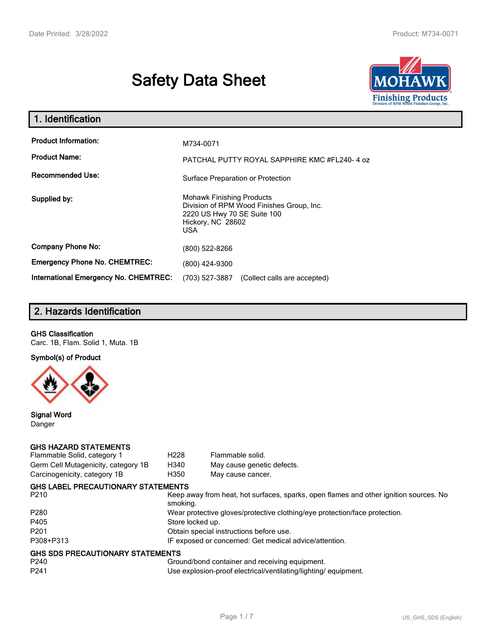# **Safety Data Sheet**



| 1. Identification                                   |                                                                                                                                                 |
|-----------------------------------------------------|-------------------------------------------------------------------------------------------------------------------------------------------------|
| <b>Product Information:</b><br><b>Product Name:</b> | M734-0071<br>PATCHAL PUTTY ROYAL SAPPHIRE KMC #FL240-4 oz                                                                                       |
| <b>Recommended Use:</b>                             | Surface Preparation or Protection                                                                                                               |
| Supplied by:                                        | <b>Mohawk Finishing Products</b><br>Division of RPM Wood Finishes Group, Inc.<br>2220 US Hwy 70 SE Suite 100<br>Hickory, NC 28602<br><b>USA</b> |
| <b>Company Phone No:</b>                            | (800) 522-8266                                                                                                                                  |
| <b>Emergency Phone No. CHEMTREC:</b>                | (800) 424-9300                                                                                                                                  |
| <b>International Emergency No. CHEMTREC:</b>        | (703) 527-3887<br>(Collect calls are accepted)                                                                                                  |

# **2. Hazards Identification**

## **GHS Classification**

Carc. 1B, Flam. Solid 1, Muta. 1B

**Symbol(s) of Product**



**Signal Word** Danger

## **GHS HAZARD STATEMENTS**

| Flammable Solid, category 1         | H <sub>228</sub>                                                           | Flammable solid.                                                                      |  |
|-------------------------------------|----------------------------------------------------------------------------|---------------------------------------------------------------------------------------|--|
| Germ Cell Mutagenicity, category 1B | H340                                                                       | May cause genetic defects.                                                            |  |
| Carcinogenicity, category 1B        | H350                                                                       | May cause cancer.                                                                     |  |
| GHS LABEL PRECAUTIONARY STATEMENTS  |                                                                            |                                                                                       |  |
| P210                                | smoking.                                                                   | Keep away from heat, hot surfaces, sparks, open flames and other ignition sources. No |  |
| P280                                | Wear protective gloves/protective clothing/eye protection/face protection. |                                                                                       |  |
| P405                                | Store locked up.                                                           |                                                                                       |  |
| P201                                | Obtain special instructions before use.                                    |                                                                                       |  |
| P308+P313                           | IF exposed or concerned: Get medical advice/attention.                     |                                                                                       |  |
| GHS SDS PRECAUTIONARY STATEMENTS    |                                                                            |                                                                                       |  |
| P240                                |                                                                            | Ground/bond container and receiving equipment.                                        |  |
| P <sub>241</sub>                    |                                                                            | Use explosion-proof electrical/ventilating/lighting/equipment.                        |  |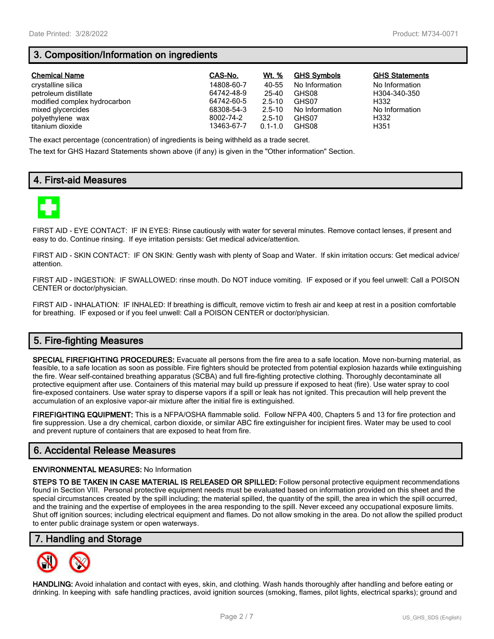# **3. Composition/Information on ingredients**

| <b>Chemical Name</b>         | CAS-No.    | Wt. %       | <b>GHS Symbols</b> | <b>GHS Statements</b> |
|------------------------------|------------|-------------|--------------------|-----------------------|
| crystalline silica           | 14808-60-7 | 40-55       | No Information     | No Information        |
| petroleum distillate         | 64742-48-9 | 25-40       | GHS08              | H304-340-350          |
| modified complex hydrocarbon | 64742-60-5 | $2.5 - 10$  | GHS07              | H332                  |
| mixed glycercides            | 68308-54-3 | $2.5 - 10$  | No Information     | No Information        |
| polyethylene wax             | 8002-74-2  | $2.5 - 10$  | GHS07              | H332                  |
| titanium dioxide             | 13463-67-7 | $0.1 - 1.0$ | GHS08              | H351                  |

The exact percentage (concentration) of ingredients is being withheld as a trade secret.

The text for GHS Hazard Statements shown above (if any) is given in the "Other information" Section.

# **4. First-aid Measures**



FIRST AID - EYE CONTACT: IF IN EYES: Rinse cautiously with water for several minutes. Remove contact lenses, if present and easy to do. Continue rinsing. If eye irritation persists: Get medical advice/attention.

FIRST AID - SKIN CONTACT: IF ON SKIN: Gently wash with plenty of Soap and Water. If skin irritation occurs: Get medical advice/ attention.

FIRST AID - INGESTION: IF SWALLOWED: rinse mouth. Do NOT induce vomiting. IF exposed or if you feel unwell: Call a POISON CENTER or doctor/physician.

FIRST AID - INHALATION: IF INHALED: If breathing is difficult, remove victim to fresh air and keep at rest in a position comfortable for breathing. IF exposed or if you feel unwell: Call a POISON CENTER or doctor/physician.

# **5. Fire-fighting Measures**

**SPECIAL FIREFIGHTING PROCEDURES:** Evacuate all persons from the fire area to a safe location. Move non-burning material, as feasible, to a safe location as soon as possible. Fire fighters should be protected from potential explosion hazards while extinguishing the fire. Wear self-contained breathing apparatus (SCBA) and full fire-fighting protective clothing. Thoroughly decontaminate all protective equipment after use. Containers of this material may build up pressure if exposed to heat (fire). Use water spray to cool fire-exposed containers. Use water spray to disperse vapors if a spill or leak has not ignited. This precaution will help prevent the accumulation of an explosive vapor-air mixture after the initial fire is extinguished.

**FIREFIGHTING EQUIPMENT:** This is a NFPA/OSHA flammable solid. Follow NFPA 400, Chapters 5 and 13 for fire protection and fire suppression. Use a dry chemical, carbon dioxide, or similar ABC fire extinguisher for incipient fires. Water may be used to cool and prevent rupture of containers that are exposed to heat from fire.

## **6. Accidental Release Measures**

### **ENVIRONMENTAL MEASURES:** No Information

**STEPS TO BE TAKEN IN CASE MATERIAL IS RELEASED OR SPILLED:** Follow personal protective equipment recommendations found in Section VIII. Personal protective equipment needs must be evaluated based on information provided on this sheet and the special circumstances created by the spill including; the material spilled, the quantity of the spill, the area in which the spill occurred, and the training and the expertise of employees in the area responding to the spill. Never exceed any occupational exposure limits. Shut off ignition sources; including electrical equipment and flames. Do not allow smoking in the area. Do not allow the spilled product to enter public drainage system or open waterways.

## **7. Handling and Storage**



**HANDLING:** Avoid inhalation and contact with eyes, skin, and clothing. Wash hands thoroughly after handling and before eating or drinking. In keeping with safe handling practices, avoid ignition sources (smoking, flames, pilot lights, electrical sparks); ground and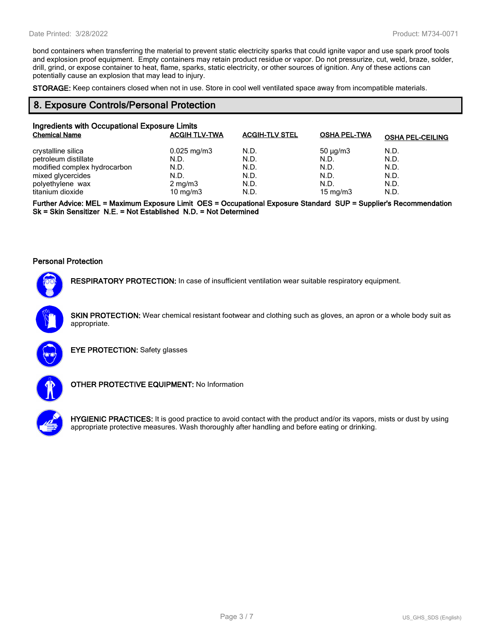bond containers when transferring the material to prevent static electricity sparks that could ignite vapor and use spark proof tools and explosion proof equipment. Empty containers may retain product residue or vapor. Do not pressurize, cut, weld, braze, solder, drill, grind, or expose container to heat, flame, sparks, static electricity, or other sources of ignition. Any of these actions can potentially cause an explosion that may lead to injury.

**STORAGE:** Keep containers closed when not in use. Store in cool well ventilated space away from incompatible materials.

## **8. Exposure Controls/Personal Protection**

| Ingredients with Occupational Exposure Limits |                         |                       |                     |                         |  |
|-----------------------------------------------|-------------------------|-----------------------|---------------------|-------------------------|--|
| <b>Chemical Name</b>                          | <b>ACGIH TLV-TWA</b>    | <b>ACGIH-TLV STEL</b> | <b>OSHA PEL-TWA</b> | <b>OSHA PEL-CEILING</b> |  |
| crystalline silica                            | $0.025 \,\mathrm{mg/m}$ | N.D.                  | $50 \mu q/m3$       | N.D.                    |  |
| petroleum distillate                          | N.D.                    | N.D.                  | N.D.                | N.D.                    |  |
| modified complex hydrocarbon                  | N.D.                    | N.D.                  | N.D.                | N.D.                    |  |
| mixed glycercides                             | N.D.                    | N.D.                  | N.D.                | N.D.                    |  |
| polyethylene wax                              | $2 \text{ mg/m}$ 3      | N.D.                  | N.D.                | N.D.                    |  |
| titanium dioxide                              | 10 mg/m $3$             | N.D.                  | 15 mg/m $3$         | N.D.                    |  |

**Further Advice: MEL = Maximum Exposure Limit OES = Occupational Exposure Standard SUP = Supplier's Recommendation Sk = Skin Sensitizer N.E. = Not Established N.D. = Not Determined**

#### **Personal Protection**



**RESPIRATORY PROTECTION:** In case of insufficient ventilation wear suitable respiratory equipment.

**SKIN PROTECTION:** Wear chemical resistant footwear and clothing such as gloves, an apron or a whole body suit as appropriate.



**EYE PROTECTION:** Safety glasses



**OTHER PROTECTIVE EQUIPMENT:** No Information



**HYGIENIC PRACTICES:** It is good practice to avoid contact with the product and/or its vapors, mists or dust by using appropriate protective measures. Wash thoroughly after handling and before eating or drinking.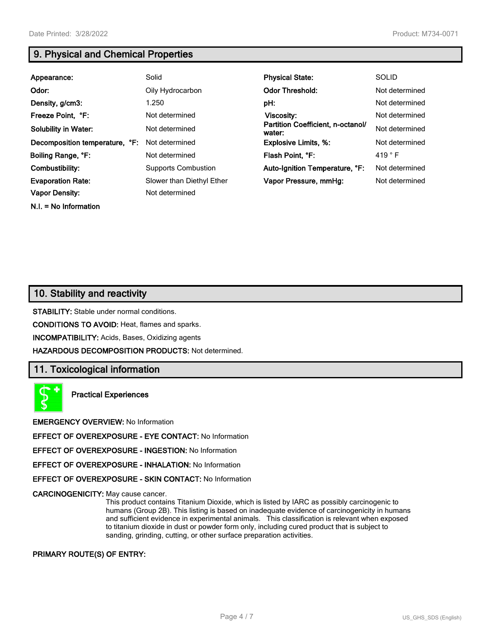**N.I. = No Information**

# **9. Physical and Chemical Properties**

| Appearance:                    | Solid                      | <b>Physical State:</b>                      | <b>SOLID</b>    |
|--------------------------------|----------------------------|---------------------------------------------|-----------------|
| Odor:                          | Oily Hydrocarbon           | <b>Odor Threshold:</b>                      | Not determined  |
| Density, g/cm3:                | 1.250                      | pH:                                         | Not determined  |
| Freeze Point, °F:              | Not determined             | Viscosity:                                  | Not determined  |
| <b>Solubility in Water:</b>    | Not determined             | Partition Coefficient, n-octanol/<br>water: | Not determined  |
| Decomposition temperature, °F: | Not determined             | <b>Explosive Limits, %:</b>                 | Not determined  |
| Boiling Range, °F:             | Not determined             | Flash Point, °F:                            | 419 $\degree$ F |
| Combustibility:                | <b>Supports Combustion</b> | Auto-Ignition Temperature, °F:              | Not determined  |
| <b>Evaporation Rate:</b>       | Slower than Diethyl Ether  | Vapor Pressure, mmHq:                       | Not determined  |
| <b>Vapor Density:</b>          | Not determined             |                                             |                 |

# **10. Stability and reactivity**

**STABILITY:** Stable under normal conditions.

**CONDITIONS TO AVOID:** Heat, flames and sparks.

**INCOMPATIBILITY:** Acids, Bases, Oxidizing agents

**HAZARDOUS DECOMPOSITION PRODUCTS:** Not determined.

## **11. Toxicological information**

**Practical Experiences**

**EMERGENCY OVERVIEW:** No Information

**EFFECT OF OVEREXPOSURE - EYE CONTACT:** No Information

**EFFECT OF OVEREXPOSURE - INGESTION:** No Information

**EFFECT OF OVEREXPOSURE - INHALATION:** No Information

**EFFECT OF OVEREXPOSURE - SKIN CONTACT:** No Information

**CARCINOGENICITY:** May cause cancer.

This product contains Titanium Dioxide, which is listed by IARC as possibly carcinogenic to humans (Group 2B). This listing is based on inadequate evidence of carcinogenicity in humans and sufficient evidence in experimental animals. This classification is relevant when exposed to titanium dioxide in dust or powder form only, including cured product that is subject to sanding, grinding, cutting, or other surface preparation activities.

## **PRIMARY ROUTE(S) OF ENTRY:**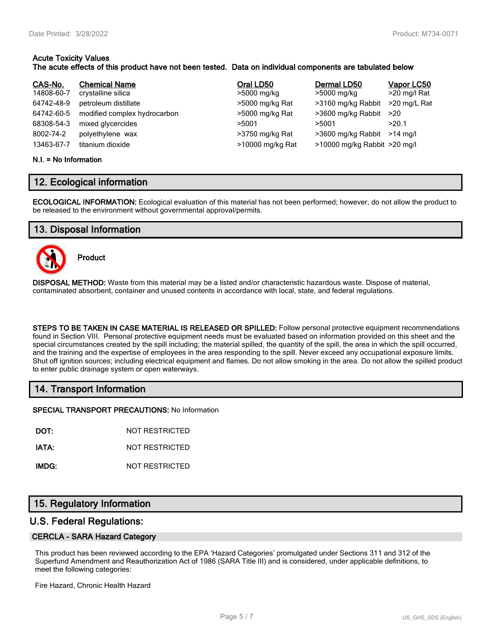## **Acute Toxicity Values The acute effects of this product have not been tested. Data on individual components are tabulated below**

| CAS-No.    | <b>Chemical Name</b>         | Oral LD50        | Dermal LD50                  | Vapor LC50   |
|------------|------------------------------|------------------|------------------------------|--------------|
| 14808-60-7 | crystalline silica           | >5000 mg/kg      | >5000 mg/kg                  | >20 mg/l Rat |
| 64742-48-9 | petroleum distillate         | >5000 mg/kg Rat  | >3160 mg/kg Rabbit           | >20 mg/L Rat |
| 64742-60-5 | modified complex hydrocarbon | >5000 mg/kg Rat  | >3600 mg/kg Rabbit           | >20          |
| 68308-54-3 | mixed glycercides            | >5001            | >5001                        | >20.1        |
| 8002-74-2  | polyethylene wax             | >3750 mg/kg Rat  | >3600 mg/kg Rabbit           | $>14$ ma/l   |
| 13463-67-7 | titanium dioxide             | >10000 mg/kg Rat | >10000 mg/kg Rabbit >20 mg/l |              |

#### **N.I. = No Information**

## **12. Ecological information**

**ECOLOGICAL INFORMATION:** Ecological evaluation of this material has not been performed; however, do not allow the product to be released to the environment without governmental approval/permits.

## **13. Disposal Information**



**Product**

**DISPOSAL METHOD:** Waste from this material may be a listed and/or characteristic hazardous waste. Dispose of material, contaminated absorbent, container and unused contents in accordance with local, state, and federal regulations.

**STEPS TO BE TAKEN IN CASE MATERIAL IS RELEASED OR SPILLED:** Follow personal protective equipment recommendations found in Section VIII. Personal protective equipment needs must be evaluated based on information provided on this sheet and the special circumstances created by the spill including; the material spilled, the quantity of the spill, the area in which the spill occurred, and the training and the expertise of employees in the area responding to the spill. Never exceed any occupational exposure limits. Shut off ignition sources; including electrical equipment and flames. Do not allow smoking in the area. Do not allow the spilled product to enter public drainage system or open waterways.

## **14. Transport Information**

**SPECIAL TRANSPORT PRECAUTIONS:** No Information

**DOT:** NOT RESTRICTED

**IATA:** NOT RESTRICTED

**IMDG:** NOT RESTRICTED

## **15. Regulatory Information**

## **U.S. Federal Regulations:**

## **CERCLA - SARA Hazard Category**

This product has been reviewed according to the EPA 'Hazard Categories' promulgated under Sections 311 and 312 of the Superfund Amendment and Reauthorization Act of 1986 (SARA Title III) and is considered, under applicable definitions, to meet the following categories:

Fire Hazard, Chronic Health Hazard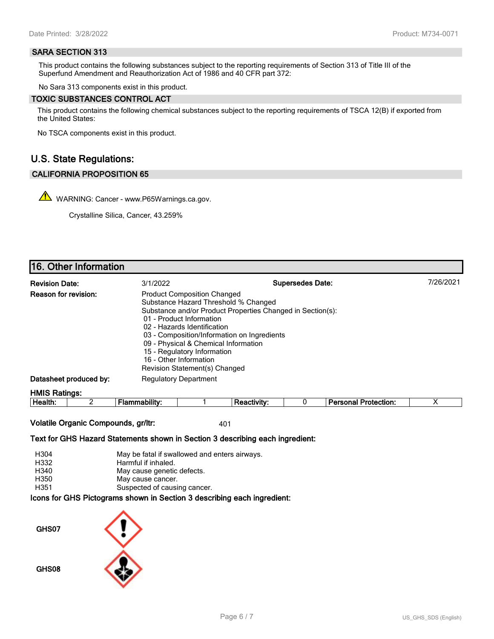### **SARA SECTION 313**

This product contains the following substances subject to the reporting requirements of Section 313 of Title III of the Superfund Amendment and Reauthorization Act of 1986 and 40 CFR part 372:

No Sara 313 components exist in this product.

#### **TOXIC SUBSTANCES CONTROL ACT**

This product contains the following chemical substances subject to the reporting requirements of TSCA 12(B) if exported from the United States:

No TSCA components exist in this product.

# **U.S. State Regulations:**

## **CALIFORNIA PROPOSITION 65**

WARNING: Cancer - www.P65Warnings.ca.gov.

Crystalline Silica, Cancer, 43.259%

# **16. Other Information**

| <b>Revision Date:</b>       | 3/1/2022                                                                                                                                                                                                                                                                                                               | <b>Supersedes Date:</b>                                    | 7/26/2021 |
|-----------------------------|------------------------------------------------------------------------------------------------------------------------------------------------------------------------------------------------------------------------------------------------------------------------------------------------------------------------|------------------------------------------------------------|-----------|
| <b>Reason for revision:</b> | <b>Product Composition Changed</b><br>Substance Hazard Threshold % Changed<br>01 - Product Information<br>02 - Hazards Identification<br>03 - Composition/Information on Ingredients<br>09 - Physical & Chemical Information<br>15 - Regulatory Information<br>16 - Other Information<br>Revision Statement(s) Changed | Substance and/or Product Properties Changed in Section(s): |           |
| Datasheet produced by:      | <b>Regulatory Department</b>                                                                                                                                                                                                                                                                                           |                                                            |           |
| <b>HMIS Ratings:</b>        |                                                                                                                                                                                                                                                                                                                        |                                                            |           |

| Health. | <br>abilit<br>- 12<br>ю | ıctivitv:<br>rея | Protection:<br>Dereone'<br>лю<br>. |  |
|---------|-------------------------|------------------|------------------------------------|--|
|         |                         |                  |                                    |  |

**Volatile Organic Compounds, gr/ltr:** 401

**Text for GHS Hazard Statements shown in Section 3 describing each ingredient:**

| H304 | May be fatal if swallowed and enters airways.                   |
|------|-----------------------------------------------------------------|
| H332 | Harmful if inhaled.                                             |
| H340 | May cause genetic defects.                                      |
| H350 | May cause cancer.                                               |
| H351 | Suspected of causing cancer.                                    |
|      | aana far OUO Distantena ahalun in Oastian O daasulking aash ing |

**Icons for GHS Pictograms shown in Section 3 describing each ingredient:**